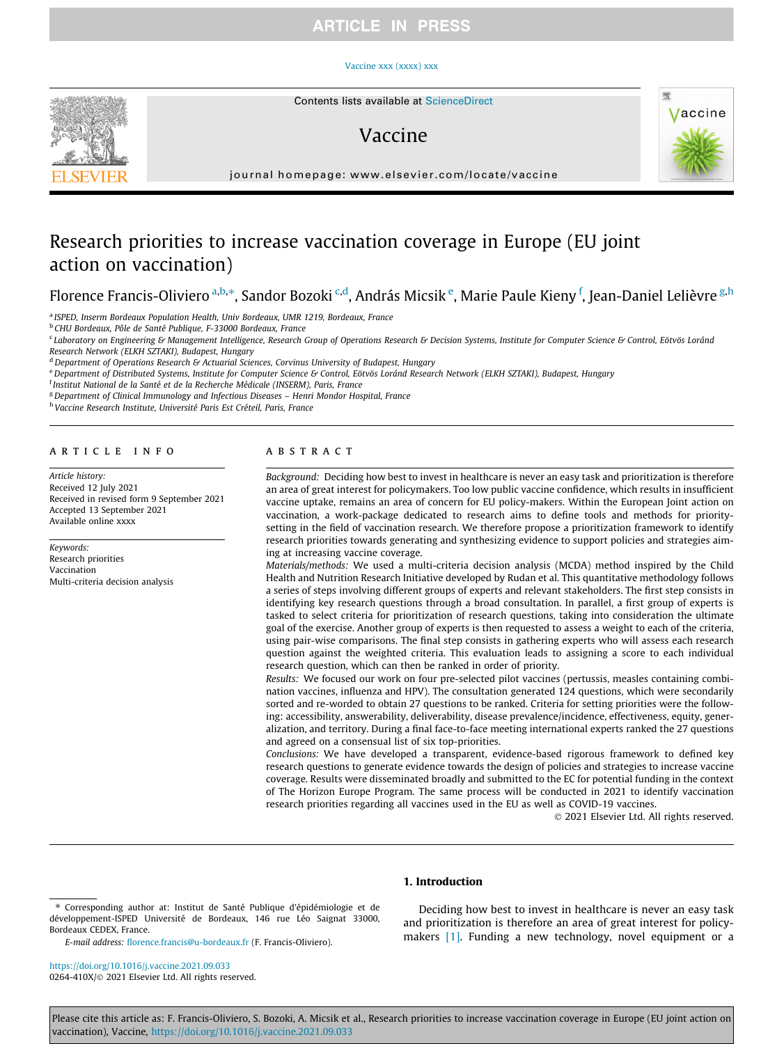# **ARTICLE IN PRESS**

#### [Vaccine xxx \(xxxx\) xxx](https://doi.org/10.1016/j.vaccine.2021.09.033)



# Vaccine



journal homepage: [www.elsevier.com/locate/vaccine](http://www.elsevier.com/locate/vaccine)

# Research priorities to increase vaccination coverage in Europe (EU joint action on vaccination)

Florence Francis-Oliviero <sup>a,b,</sup>\*, Sandor Bozoki <sup>c,d</sup>, András Micsik <sup>e</sup>, Marie Paule Kieny <sup>f</sup>, Jean-Daniel Lelièvre <sup>g,h</sup>

<sup>a</sup> ISPED, Inserm Bordeaux Population Health, Univ Bordeaux, UMR 1219, Bordeaux, France

<sup>b</sup> CHU Bordeaux, Pôle de Santé Publique, F-33000 Bordeaux, France

<sup>c</sup> Laboratory on Engineering & Management Intelligence, Research Group of Operations Research & Decision Systems, Institute for Computer Science & Control, Eötvös Loránd Research Network (ELKH SZTAKI), Budapest, Hungary

 $<sup>d</sup>$  Department of Operations Research & Actuarial Sciences, Corvinus University of Budapest, Hungary</sup>

e Department of Distributed Systems, Institute for Computer Science & Control, Eötvös Loránd Research Network (ELKH SZTAKI), Budapest, Hungary

<sup>f</sup> Institut National de la Santé et de la Recherche Médicale (INSERM), Paris, France

<sup>g</sup> Department of Clinical Immunology and Infectious Diseases - Henri Mondor Hospital, France

<sup>h</sup> Vaccine Research Institute, Université Paris Est Créteil, Paris, France

# article info

Article history: Received 12 July 2021 Received in revised form 9 September 2021 Accepted 13 September 2021 Available online xxxx

Keywords: Research priorities Vaccination Multi-criteria decision analysis

# ABSTRACT

Background: Deciding how best to invest in healthcare is never an easy task and prioritization is therefore an area of great interest for policymakers. Too low public vaccine confidence, which results in insufficient vaccine uptake, remains an area of concern for EU policy-makers. Within the European Joint action on vaccination, a work-package dedicated to research aims to define tools and methods for prioritysetting in the field of vaccination research. We therefore propose a prioritization framework to identify research priorities towards generating and synthesizing evidence to support policies and strategies aiming at increasing vaccine coverage.

Materials/methods: We used a multi-criteria decision analysis (MCDA) method inspired by the Child Health and Nutrition Research Initiative developed by Rudan et al. This quantitative methodology follows a series of steps involving different groups of experts and relevant stakeholders. The first step consists in identifying key research questions through a broad consultation. In parallel, a first group of experts is tasked to select criteria for prioritization of research questions, taking into consideration the ultimate goal of the exercise. Another group of experts is then requested to assess a weight to each of the criteria, using pair-wise comparisons. The final step consists in gathering experts who will assess each research question against the weighted criteria. This evaluation leads to assigning a score to each individual research question, which can then be ranked in order of priority.

Results: We focused our work on four pre-selected pilot vaccines (pertussis, measles containing combination vaccines, influenza and HPV). The consultation generated 124 questions, which were secondarily sorted and re-worded to obtain 27 questions to be ranked. Criteria for setting priorities were the following: accessibility, answerability, deliverability, disease prevalence/incidence, effectiveness, equity, generalization, and territory. During a final face-to-face meeting international experts ranked the 27 questions and agreed on a consensual list of six top-priorities.

Conclusions: We have developed a transparent, evidence-based rigorous framework to defined key research questions to generate evidence towards the design of policies and strategies to increase vaccine coverage. Results were disseminated broadly and submitted to the EC for potential funding in the context of The Horizon Europe Program. The same process will be conducted in 2021 to identify vaccination research priorities regarding all vaccines used in the EU as well as COVID-19 vaccines.

2021 Elsevier Ltd. All rights reserved.

### 1. Introduction

E-mail address: [florence.francis@u-bordeaux.fr](mailto:florence.francis@u-bordeaux.fr) (F. Francis-Oliviero).

<https://doi.org/10.1016/j.vaccine.2021.09.033> 0264-410X/@ 2021 Elsevier Ltd. All rights reserved.

Deciding how best to invest in healthcare is never an easy task and prioritization is therefore an area of great interest for policymakers [\[1\].](#page-5-0) Funding a new technology, novel equipment or a

Please cite this article as: F. Francis-Oliviero, S. Bozoki, A. Micsik et al., Research priorities to increase vaccination coverage in Europe (EU joint action on vaccination), Vaccine, <https://doi.org/10.1016/j.vaccine.2021.09.033>

<sup>⇑</sup> Corresponding author at: Institut de Santé Publique d'épidémiologie et de développement-ISPED Université de Bordeaux, 146 rue Léo Saignat 33000, Bordeaux CEDEX, France.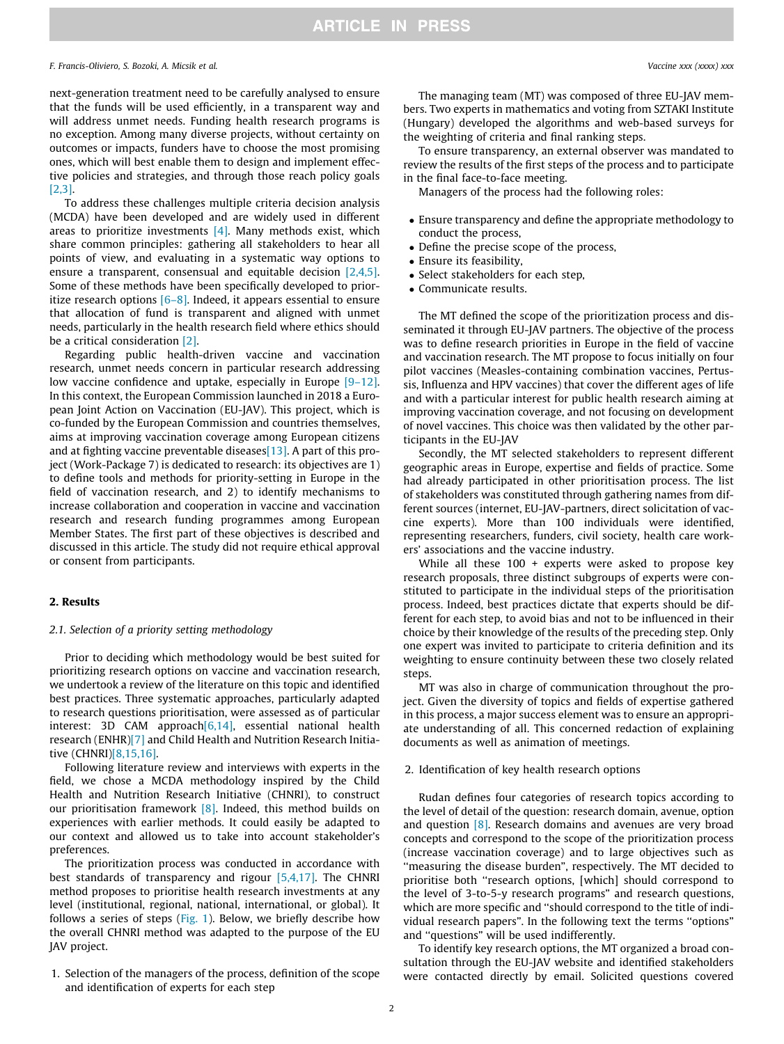# F. Francis-Oliviero, S. Bozoki, A. Micsik et al. Vaccine xxx (xxxx) xxx

next-generation treatment need to be carefully analysed to ensure that the funds will be used efficiently, in a transparent way and will address unmet needs. Funding health research programs is no exception. Among many diverse projects, without certainty on outcomes or impacts, funders have to choose the most promising ones, which will best enable them to design and implement effective policies and strategies, and through those reach policy goals [\[2,3\].](#page-5-0)

To address these challenges multiple criteria decision analysis (MCDA) have been developed and are widely used in different areas to prioritize investments  $[4]$ . Many methods exist, which share common principles: gathering all stakeholders to hear all points of view, and evaluating in a systematic way options to ensure a transparent, consensual and equitable decision [\[2,4,5\].](#page-5-0) Some of these methods have been specifically developed to prioritize research options  $[6-8]$ . Indeed, it appears essential to ensure that allocation of fund is transparent and aligned with unmet needs, particularly in the health research field where ethics should be a critical consideration [\[2\]](#page-5-0).

Regarding public health-driven vaccine and vaccination research, unmet needs concern in particular research addressing low vaccine confidence and uptake, especially in Europe [\[9–12\].](#page-5-0) In this context, the European Commission launched in 2018 a European Joint Action on Vaccination (EU-JAV). This project, which is co-funded by the European Commission and countries themselves, aims at improving vaccination coverage among European citizens and at fighting vaccine preventable diseases  $[13]$ . A part of this project (Work-Package 7) is dedicated to research: its objectives are 1) to define tools and methods for priority-setting in Europe in the field of vaccination research, and 2) to identify mechanisms to increase collaboration and cooperation in vaccine and vaccination research and research funding programmes among European Member States. The first part of these objectives is described and discussed in this article. The study did not require ethical approval or consent from participants.

# 2. Results

# 2.1. Selection of a priority setting methodology

Prior to deciding which methodology would be best suited for prioritizing research options on vaccine and vaccination research, we undertook a review of the literature on this topic and identified best practices. Three systematic approaches, particularly adapted to research questions prioritisation, were assessed as of particular interest: 3D CAM approach[\[6,14\]](#page-5-0), essential national health research (ENHR[\)\[7\]](#page-5-0) and Child Health and Nutrition Research Initiative (CHNRI[\)\[8,15,16\].](#page-5-0)

Following literature review and interviews with experts in the field, we chose a MCDA methodology inspired by the Child Health and Nutrition Research Initiative (CHNRI), to construct our prioritisation framework [\[8\].](#page-5-0) Indeed, this method builds on experiences with earlier methods. It could easily be adapted to our context and allowed us to take into account stakeholder's preferences.

The prioritization process was conducted in accordance with best standards of transparency and rigour [\[5,4,17\]](#page-5-0). The CHNRI method proposes to prioritise health research investments at any level (institutional, regional, national, international, or global). It follows a series of steps [\(Fig. 1](#page-2-0)). Below, we briefly describe how the overall CHNRI method was adapted to the purpose of the EU JAV project.

1. Selection of the managers of the process, definition of the scope and identification of experts for each step

The managing team (MT) was composed of three EU-JAV members. Two experts in mathematics and voting from SZTAKI Institute (Hungary) developed the algorithms and web-based surveys for the weighting of criteria and final ranking steps.

To ensure transparency, an external observer was mandated to review the results of the first steps of the process and to participate in the final face-to-face meeting.

Managers of the process had the following roles:

- Ensure transparency and define the appropriate methodology to conduct the process,
- Define the precise scope of the process,
- Ensure its feasibility,
- Select stakeholders for each step,
- Communicate results.

The MT defined the scope of the prioritization process and disseminated it through EU-JAV partners. The objective of the process was to define research priorities in Europe in the field of vaccine and vaccination research. The MT propose to focus initially on four pilot vaccines (Measles-containing combination vaccines, Pertussis, Influenza and HPV vaccines) that cover the different ages of life and with a particular interest for public health research aiming at improving vaccination coverage, and not focusing on development of novel vaccines. This choice was then validated by the other participants in the EU-JAV

Secondly, the MT selected stakeholders to represent different geographic areas in Europe, expertise and fields of practice. Some had already participated in other prioritisation process. The list of stakeholders was constituted through gathering names from different sources (internet, EU-JAV-partners, direct solicitation of vaccine experts). More than 100 individuals were identified, representing researchers, funders, civil society, health care workers' associations and the vaccine industry.

While all these 100 + experts were asked to propose key research proposals, three distinct subgroups of experts were constituted to participate in the individual steps of the prioritisation process. Indeed, best practices dictate that experts should be different for each step, to avoid bias and not to be influenced in their choice by their knowledge of the results of the preceding step. Only one expert was invited to participate to criteria definition and its weighting to ensure continuity between these two closely related steps.

MT was also in charge of communication throughout the project. Given the diversity of topics and fields of expertise gathered in this process, a major success element was to ensure an appropriate understanding of all. This concerned redaction of explaining documents as well as animation of meetings.

## 2. Identification of key health research options

Rudan defines four categories of research topics according to the level of detail of the question: research domain, avenue, option and question [\[8\].](#page-5-0) Research domains and avenues are very broad concepts and correspond to the scope of the prioritization process (increase vaccination coverage) and to large objectives such as ''measuring the disease burden", respectively. The MT decided to prioritise both ''research options, [which] should correspond to the level of 3-to-5-y research programs" and research questions, which are more specific and ''should correspond to the title of individual research papers". In the following text the terms ''options" and ''questions" will be used indifferently.

To identify key research options, the MT organized a broad consultation through the EU-JAV website and identified stakeholders were contacted directly by email. Solicited questions covered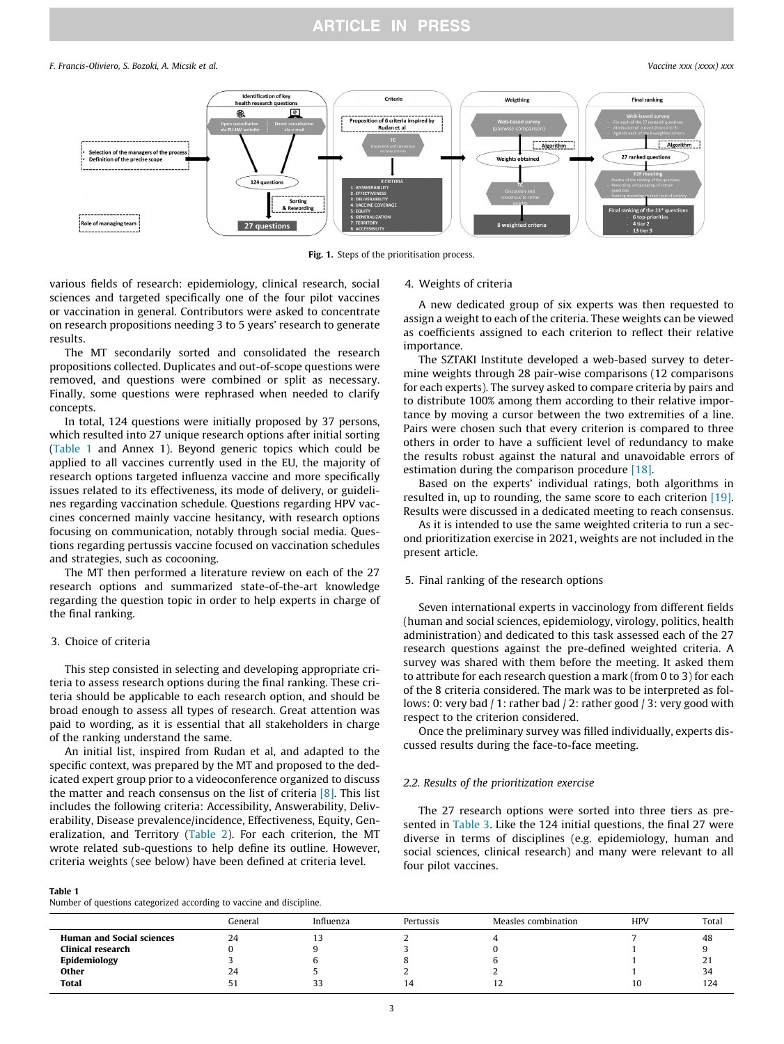# **ARTICLE IN PRESS**

#### <span id="page-2-0"></span>F. Francis-Oliviero, S. Bozoki, A. Micsik et al. Vaccine xxx (xxxx) xxx



Fig. 1. Steps of the prioritisation process.

various fields of research: epidemiology, clinical research, social sciences and targeted specifically one of the four pilot vaccines or vaccination in general. Contributors were asked to concentrate on research propositions needing 3 to 5 years' research to generate results.

The MT secondarily sorted and consolidated the research propositions collected. Duplicates and out-of-scope questions were removed, and questions were combined or split as necessary. Finally, some questions were rephrased when needed to clarify concepts.

In total, 124 questions were initially proposed by 37 persons, which resulted into 27 unique research options after initial sorting (Table 1 and Annex 1). Beyond generic topics which could be applied to all vaccines currently used in the EU, the majority of research options targeted influenza vaccine and more specifically issues related to its effectiveness, its mode of delivery, or guidelines regarding vaccination schedule. Questions regarding HPV vaccines concerned mainly vaccine hesitancy, with research options focusing on communication, notably through social media. Questions regarding pertussis vaccine focused on vaccination schedules and strategies, such as cocooning.

The MT then performed a literature review on each of the 27 research options and summarized state-of-the-art knowledge regarding the question topic in order to help experts in charge of the final ranking.

# 3. Choice of criteria

This step consisted in selecting and developing appropriate criteria to assess research options during the final ranking. These criteria should be applicable to each research option, and should be broad enough to assess all types of research. Great attention was paid to wording, as it is essential that all stakeholders in charge of the ranking understand the same.

An initial list, inspired from Rudan et al, and adapted to the specific context, was prepared by the MT and proposed to the dedicated expert group prior to a videoconference organized to discuss the matter and reach consensus on the list of criteria  $[8]$ . This list includes the following criteria: Accessibility, Answerability, Deliverability, Disease prevalence/incidence, Effectiveness, Equity, Generalization, and Territory ([Table 2](#page-3-0)). For each criterion, the MT wrote related sub-questions to help define its outline. However, criteria weights (see below) have been defined at criteria level.

#### Table 1

Number of questions categorized according to vaccine and discipline.

#### 4. Weights of criteria

A new dedicated group of six experts was then requested to assign a weight to each of the criteria. These weights can be viewed as coefficients assigned to each criterion to reflect their relative importance.

The SZTAKI Institute developed a web-based survey to determine weights through 28 pair-wise comparisons (12 comparisons for each experts). The survey asked to compare criteria by pairs and to distribute 100% among them according to their relative importance by moving a cursor between the two extremities of a line. Pairs were chosen such that every criterion is compared to three others in order to have a sufficient level of redundancy to make the results robust against the natural and unavoidable errors of estimation during the comparison procedure [\[18\]](#page-5-0).

Based on the experts' individual ratings, both algorithms in resulted in, up to rounding, the same score to each criterion [\[19\].](#page-5-0) Results were discussed in a dedicated meeting to reach consensus.

As it is intended to use the same weighted criteria to run a second prioritization exercise in 2021, weights are not included in the present article.

# 5. Final ranking of the research options

Seven international experts in vaccinology from different fields (human and social sciences, epidemiology, virology, politics, health administration) and dedicated to this task assessed each of the 27 research questions against the pre-defined weighted criteria. A survey was shared with them before the meeting. It asked them to attribute for each research question a mark (from 0 to 3) for each of the 8 criteria considered. The mark was to be interpreted as follows: 0: very bad / 1: rather bad / 2: rather good / 3: very good with respect to the criterion considered.

Once the preliminary survey was filled individually, experts discussed results during the face-to-face meeting.

# 2.2. Results of the prioritization exercise

The 27 research options were sorted into three tiers as presented in [Table 3](#page-4-0). Like the 124 initial questions, the final 27 were diverse in terms of disciplines (e.g. epidemiology, human and social sciences, clinical research) and many were relevant to all four pilot vaccines.

|                                  | General | Influenza | Pertussis | Measles combination | <b>HPV</b> | Total |
|----------------------------------|---------|-----------|-----------|---------------------|------------|-------|
| <b>Human and Social sciences</b> | 24      | . .       |           |                     |            | 48    |
| Clinical research                |         |           |           |                     |            |       |
| Epidemiology                     |         |           |           |                     |            | 21    |
| Other                            | 24      |           |           |                     |            | 34    |
| <b>Total</b>                     |         | -         | 14        | $\sim$              | 10         | 124   |
|                                  |         |           |           |                     |            |       |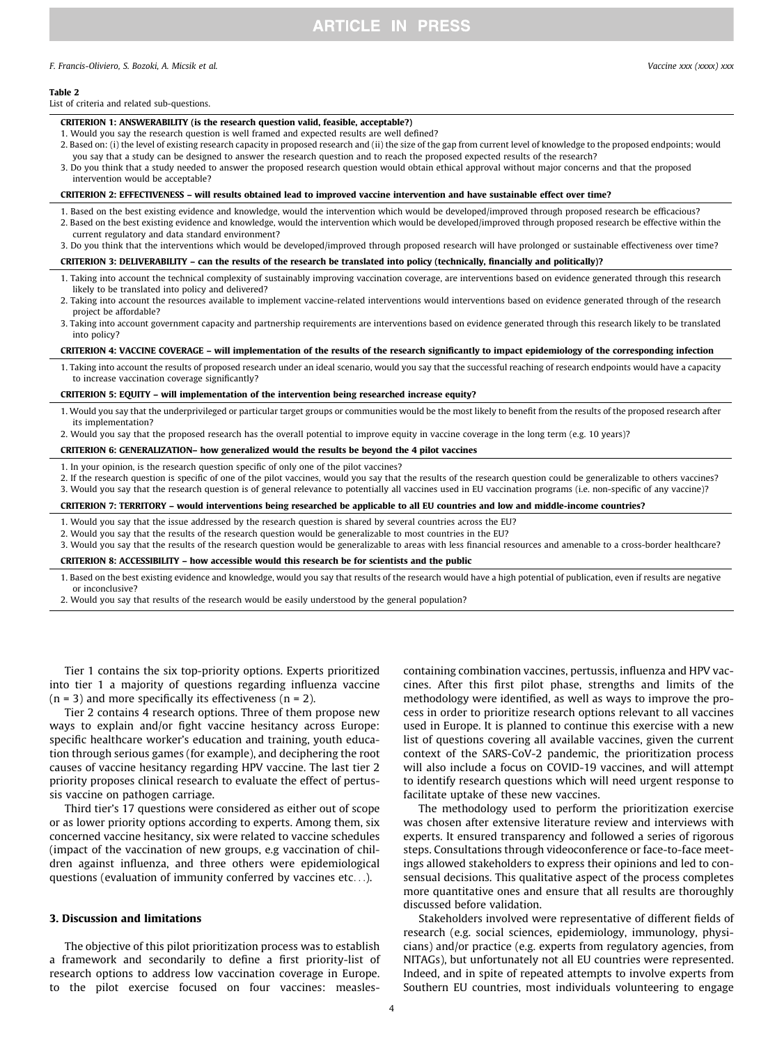# **ARTICLE IN PRESS**

#### <span id="page-3-0"></span>F. Francis-Oliviero, S. Bozoki, A. Micsik et al. Vaccine xxx (xxxx) xxx

#### Table 2

### List of criteria and related sub-questions.

#### CRITERION 1: ANSWERABILITY (is the research question valid, feasible, acceptable?)

- 1. Would you say the research question is well framed and expected results are well defined?
- 2. Based on: (i) the level of existing research capacity in proposed research and (ii) the size of the gap from current level of knowledge to the proposed endpoints; would you say that a study can be designed to answer the research question and to reach the proposed expected results of the research?
- 3. Do you think that a study needed to answer the proposed research question would obtain ethical approval without major concerns and that the proposed intervention would be acceptable?

#### CRITERION 2: EFFECTIVENESS – will results obtained lead to improved vaccine intervention and have sustainable effect over time?

- 1. Based on the best existing evidence and knowledge, would the intervention which would be developed/improved through proposed research be efficacious? 2. Based on the best existing evidence and knowledge, would the intervention which would be developed/improved through proposed research be effective within the current regulatory and data standard environment?
- 3. Do you think that the interventions which would be developed/improved through proposed research will have prolonged or sustainable effectiveness over time?

#### CRITERION 3: DELIVERABILITY – can the results of the research be translated into policy (technically, financially and politically)?

- 1. Taking into account the technical complexity of sustainably improving vaccination coverage, are interventions based on evidence generated through this research likely to be translated into policy and delivered?
- 2. Taking into account the resources available to implement vaccine-related interventions would interventions based on evidence generated through of the research project be affordable?
- 3. Taking into account government capacity and partnership requirements are interventions based on evidence generated through this research likely to be translated into policy?

#### CRITERION 4: VACCINE COVERAGE – will implementation of the results of the research significantly to impact epidemiology of the corresponding infection

1. Taking into account the results of proposed research under an ideal scenario, would you say that the successful reaching of research endpoints would have a capacity to increase vaccination coverage significantly?

# CRITERION 5: EQUITY – will implementation of the intervention being researched increase equity?

- 1. Would you say that the underprivileged or particular target groups or communities would be the most likely to benefit from the results of the proposed research after its implementation?
- 2. Would you say that the proposed research has the overall potential to improve equity in vaccine coverage in the long term (e.g. 10 years)?

#### CRITERION 6: GENERALIZATION– how generalized would the results be beyond the 4 pilot vaccines

1. In your opinion, is the research question specific of only one of the pilot vaccines?

2. If the research question is specific of one of the pilot vaccines, would you say that the results of the research question could be generalizable to others vaccines?

3. Would you say that the research question is of general relevance to potentially all vaccines used in EU vaccination programs (i.e. non-specific of any vaccine)?

#### CRITERION 7: TERRITORY – would interventions being researched be applicable to all EU countries and low and middle-income countries?

- 1. Would you say that the issue addressed by the research question is shared by several countries across the EU?
- 2. Would you say that the results of the research question would be generalizable to most countries in the EU?
- 3. Would you say that the results of the research question would be generalizable to areas with less financial resources and amenable to a cross-border healthcare?

# CRITERION 8: ACCESSIBILITY – how accessible would this research be for scientists and the public

1. Based on the best existing evidence and knowledge, would you say that results of the research would have a high potential of publication, even if results are negative or inconclusive?

2. Would you say that results of the research would be easily understood by the general population?

Tier 1 contains the six top-priority options. Experts prioritized into tier 1 a majority of questions regarding influenza vaccine  $(n = 3)$  and more specifically its effectiveness  $(n = 2)$ .

Tier 2 contains 4 research options. Three of them propose new ways to explain and/or fight vaccine hesitancy across Europe: specific healthcare worker's education and training, youth education through serious games (for example), and deciphering the root causes of vaccine hesitancy regarding HPV vaccine. The last tier 2 priority proposes clinical research to evaluate the effect of pertussis vaccine on pathogen carriage.

Third tier's 17 questions were considered as either out of scope or as lower priority options according to experts. Among them, six concerned vaccine hesitancy, six were related to vaccine schedules (impact of the vaccination of new groups, e.g vaccination of children against influenza, and three others were epidemiological questions (evaluation of immunity conferred by vaccines etc...).

# 3. Discussion and limitations

The objective of this pilot prioritization process was to establish a framework and secondarily to define a first priority-list of research options to address low vaccination coverage in Europe. to the pilot exercise focused on four vaccines: measlescontaining combination vaccines, pertussis, influenza and HPV vaccines. After this first pilot phase, strengths and limits of the methodology were identified, as well as ways to improve the process in order to prioritize research options relevant to all vaccines used in Europe. It is planned to continue this exercise with a new list of questions covering all available vaccines, given the current context of the SARS-CoV-2 pandemic, the prioritization process will also include a focus on COVID-19 vaccines, and will attempt to identify research questions which will need urgent response to facilitate uptake of these new vaccines.

The methodology used to perform the prioritization exercise was chosen after extensive literature review and interviews with experts. It ensured transparency and followed a series of rigorous steps. Consultations through videoconference or face-to-face meetings allowed stakeholders to express their opinions and led to consensual decisions. This qualitative aspect of the process completes more quantitative ones and ensure that all results are thoroughly discussed before validation.

Stakeholders involved were representative of different fields of research (e.g. social sciences, epidemiology, immunology, physicians) and/or practice (e.g. experts from regulatory agencies, from NITAGs), but unfortunately not all EU countries were represented. Indeed, and in spite of repeated attempts to involve experts from Southern EU countries, most individuals volunteering to engage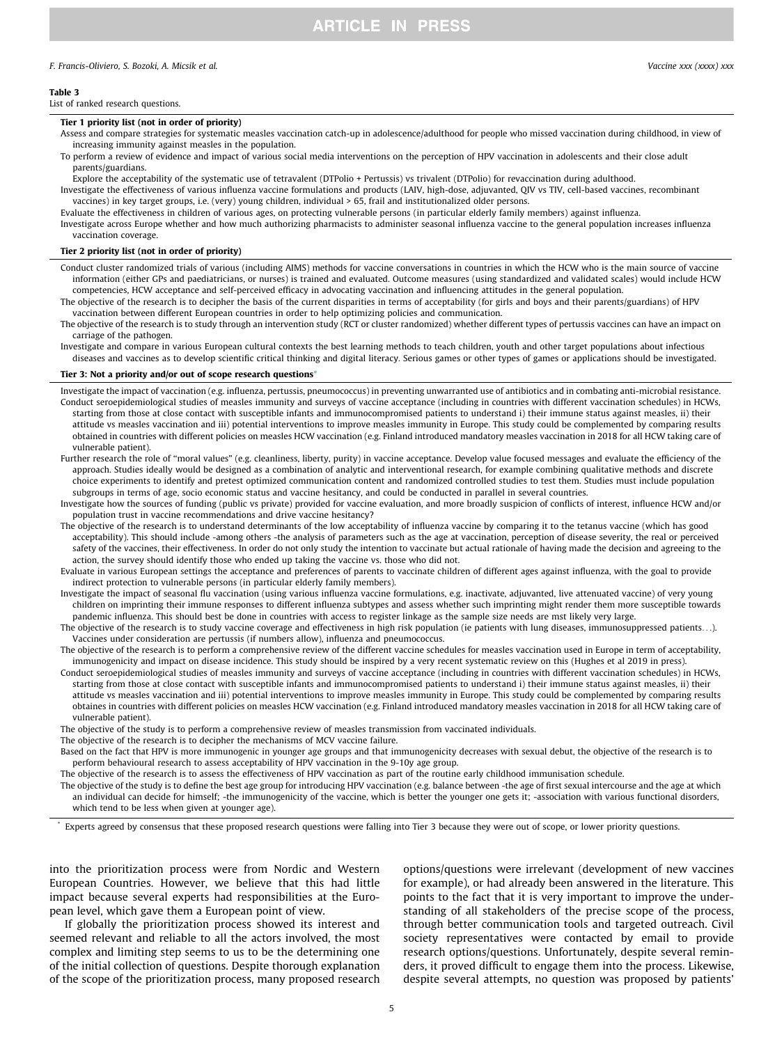# <span id="page-4-0"></span>F. Francis-Oliviero, S. Bozoki, A. Micsik et al. Vaccine xxx (xxxx) xxx

Table 3

List of ranked research questions.

#### Tier 1 priority list (not in order of priority)

Assess and compare strategies for systematic measles vaccination catch-up in adolescence/adulthood for people who missed vaccination during childhood, in view of increasing immunity against measles in the population.

To perform a review of evidence and impact of various social media interventions on the perception of HPV vaccination in adolescents and their close adult parents/guardians.

Explore the acceptability of the systematic use of tetravalent (DTPolio + Pertussis) vs trivalent (DTPolio) for revaccination during adulthood. Investigate the effectiveness of various influenza vaccine formulations and products (LAIV, high-dose, adjuvanted, QIV vs TIV, cell-based vaccines, recombinant

vaccines) in key target groups, i.e. (very) young children, individual > 65, frail and institutionalized older persons.

Evaluate the effectiveness in children of various ages, on protecting vulnerable persons (in particular elderly family members) against influenza.

Investigate across Europe whether and how much authorizing pharmacists to administer seasonal influenza vaccine to the general population increases influenza vaccination coverage.

# Tier 2 priority list (not in order of priority)

Conduct cluster randomized trials of various (including AIMS) methods for vaccine conversations in countries in which the HCW who is the main source of vaccine information (either GPs and paediatricians, or nurses) is trained and evaluated. Outcome measures (using standardized and validated scales) would include HCW competencies, HCW acceptance and self-perceived efficacy in advocating vaccination and influencing attitudes in the general population.

The objective of the research is to decipher the basis of the current disparities in terms of acceptability (for girls and boys and their parents/guardians) of HPV vaccination between different European countries in order to help optimizing policies and communication.

The objective of the research is to study through an intervention study (RCT or cluster randomized) whether different types of pertussis vaccines can have an impact on carriage of the pathogen.

Investigate and compare in various European cultural contexts the best learning methods to teach children, youth and other target populations about infectious diseases and vaccines as to develop scientific critical thinking and digital literacy. Serious games or other types of games or applications should be investigated.

#### Tier 3: Not a priority and/or out of scope research questions<sup>\*</sup>

Investigate the impact of vaccination (e.g. influenza, pertussis, pneumococcus) in preventing unwarranted use of antibiotics and in combating anti-microbial resistance. Conduct seroepidemiological studies of measles immunity and surveys of vaccine acceptance (including in countries with different vaccination schedules) in HCWs, starting from those at close contact with susceptible infants and immunocompromised patients to understand i) their immune status against measles, ii) their attitude vs measles vaccination and iii) potential interventions to improve measles immunity in Europe. This study could be complemented by comparing results obtained in countries with different policies on measles HCW vaccination (e.g. Finland introduced mandatory measles vaccination in 2018 for all HCW taking care of vulnerable patient).

- Further research the role of "moral values" (e.g. cleanliness, liberty, purity) in vaccine acceptance. Develop value focused messages and evaluate the efficiency of the approach. Studies ideally would be designed as a combination of analytic and interventional research, for example combining qualitative methods and discrete choice experiments to identify and pretest optimized communication content and randomized controlled studies to test them. Studies must include population subgroups in terms of age, socio economic status and vaccine hesitancy, and could be conducted in parallel in several countries.
- Investigate how the sources of funding (public vs private) provided for vaccine evaluation, and more broadly suspicion of conflicts of interest, influence HCW and/or population trust in vaccine recommendations and drive vaccine hesitancy?
- The objective of the research is to understand determinants of the low acceptability of influenza vaccine by comparing it to the tetanus vaccine (which has good acceptability). This should include -among others -the analysis of parameters such as the age at vaccination, perception of disease severity, the real or perceived safety of the vaccines, their effectiveness. In order do not only study the intention to vaccinate but actual rationale of having made the decision and agreeing to the action, the survey should identify those who ended up taking the vaccine vs. those who did not.
- Evaluate in various European settings the acceptance and preferences of parents to vaccinate children of different ages against influenza, with the goal to provide indirect protection to vulnerable persons (in particular elderly family members).
- Investigate the impact of seasonal flu vaccination (using various influenza vaccine formulations, e.g. inactivate, adjuvanted, live attenuated vaccine) of very young children on imprinting their immune responses to different influenza subtypes and assess whether such imprinting might render them more susceptible towards pandemic influenza. This should best be done in countries with access to register linkage as the sample size needs are mst likely very large.

The objective of the research is to study vaccine coverage and effectiveness in high risk population (ie patients with lung diseases, immunosuppressed patients...). Vaccines under consideration are pertussis (if numbers allow), influenza and pneumococcus.

- The objective of the research is to perform a comprehensive review of the different vaccine schedules for measles vaccination used in Europe in term of acceptability, immunogenicity and impact on disease incidence. This study should be inspired by a very recent systematic review on this (Hughes et al 2019 in press).
- Conduct seroepidemiological studies of measles immunity and surveys of vaccine acceptance (including in countries with different vaccination schedules) in HCWs, starting from those at close contact with susceptible infants and immunocompromised patients to understand i) their immune status against measles, ii) their attitude vs measles vaccination and iii) potential interventions to improve measles immunity in Europe. This study could be complemented by comparing results obtaines in countries with different policies on measles HCW vaccination (e.g. Finland introduced mandatory measles vaccination in 2018 for all HCW taking care of vulnerable patient).
- The objective of the study is to perform a comprehensive review of measles transmission from vaccinated individuals.

The objective of the research is to decipher the mechanisms of MCV vaccine failure.

Based on the fact that HPV is more immunogenic in younger age groups and that immunogenicity decreases with sexual debut, the objective of the research is to perform behavioural research to assess acceptability of HPV vaccination in the 9-10y age group.

The objective of the research is to assess the effectiveness of HPV vaccination as part of the routine early childhood immunisation schedule.

The objective of the study is to define the best age group for introducing HPV vaccination (e.g. balance between -the age of first sexual intercourse and the age at which an individual can decide for himself; -the immunogenicity of the vaccine, which is better the younger one gets it; -association with various functional disorders, which tend to be less when given at younger age).

Experts agreed by consensus that these proposed research questions were falling into Tier 3 because they were out of scope, or lower priority questions.

into the prioritization process were from Nordic and Western European Countries. However, we believe that this had little impact because several experts had responsibilities at the European level, which gave them a European point of view.

If globally the prioritization process showed its interest and seemed relevant and reliable to all the actors involved, the most complex and limiting step seems to us to be the determining one of the initial collection of questions. Despite thorough explanation of the scope of the prioritization process, many proposed research

options/questions were irrelevant (development of new vaccines for example), or had already been answered in the literature. This points to the fact that it is very important to improve the understanding of all stakeholders of the precise scope of the process, through better communication tools and targeted outreach. Civil society representatives were contacted by email to provide research options/questions. Unfortunately, despite several reminders, it proved difficult to engage them into the process. Likewise, despite several attempts, no question was proposed by patients'

5